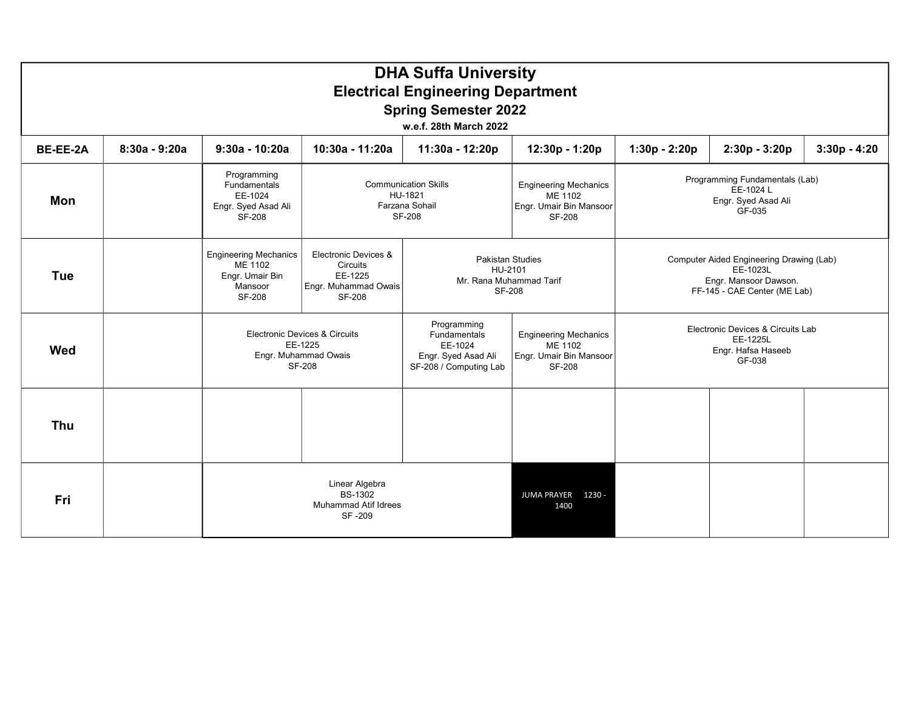| <b>DHA Suffa University</b><br><b>Electrical Engineering Department</b><br><b>Spring Semester 2022</b><br>w.e.f. 28th March 2022 |                 |                                                                                 |                                                                               |                                                                           |                                                                                                                                                                         |                 |                                                                                                               |                |  |  |  |  |
|----------------------------------------------------------------------------------------------------------------------------------|-----------------|---------------------------------------------------------------------------------|-------------------------------------------------------------------------------|---------------------------------------------------------------------------|-------------------------------------------------------------------------------------------------------------------------------------------------------------------------|-----------------|---------------------------------------------------------------------------------------------------------------|----------------|--|--|--|--|
| BE-EE-2A                                                                                                                         | $8:30a - 9:20a$ | $9:30a - 10:20a$                                                                | 10:30a - 11:20a                                                               | 11:30a - 12:20p                                                           | 12:30p - 1:20p                                                                                                                                                          | $1:30p - 2:20p$ | $2:30p - 3:20p$                                                                                               | $3:30p - 4:20$ |  |  |  |  |
| Mon                                                                                                                              |                 | Programming<br>Fundamentals<br>EE-1024<br>Engr. Syed Asad Ali<br>SF-208         |                                                                               | <b>Communication Skills</b><br>HU-1821<br>Farzana Sohail<br><b>SF-208</b> | <b>Engineering Mechanics</b><br>ME 1102<br>Engr. Umair Bin Mansoor<br>SF-208                                                                                            |                 | Programming Fundamentals (Lab)<br>EE-1024 L<br>Engr. Syed Asad Ali<br>GF-035                                  |                |  |  |  |  |
| <b>Tue</b>                                                                                                                       |                 | <b>Engineering Mechanics</b><br>ME 1102<br>Engr. Umair Bin<br>Mansoor<br>SF-208 | Electronic Devices &<br>Circuits<br>EE-1225<br>Engr. Muhammad Owais<br>SF-208 | HU-2101<br>Mr. Rana Muhammad Tarif<br>SF-208                              | <b>Pakistan Studies</b>                                                                                                                                                 |                 | Computer Aided Engineering Drawing (Lab)<br>EE-1023L<br>Engr. Mansoor Dawson.<br>FF-145 - CAE Center (ME Lab) |                |  |  |  |  |
| Wed                                                                                                                              |                 |                                                                                 | Electronic Devices & Circuits<br>EE-1225<br>Engr. Muhammad Owais<br>SF-208    |                                                                           | Programming<br>Fundamentals<br><b>Engineering Mechanics</b><br>EE-1024<br>ME 1102<br>Engr. Umair Bin Mansoor<br>Engr. Syed Asad Ali<br>SF-208<br>SF-208 / Computing Lab |                 | Electronic Devices & Circuits Lab<br>EE-1225L<br>Engr. Hafsa Haseeb<br>GF-038                                 |                |  |  |  |  |
| Thu                                                                                                                              |                 |                                                                                 |                                                                               |                                                                           |                                                                                                                                                                         |                 |                                                                                                               |                |  |  |  |  |
| Fri                                                                                                                              |                 |                                                                                 | Linear Algebra<br><b>BS-1302</b><br><b>Muhammad Atif Idrees</b><br>SF-209     |                                                                           | JUMA PRAYER 1230 -<br>1400                                                                                                                                              |                 |                                                                                                               |                |  |  |  |  |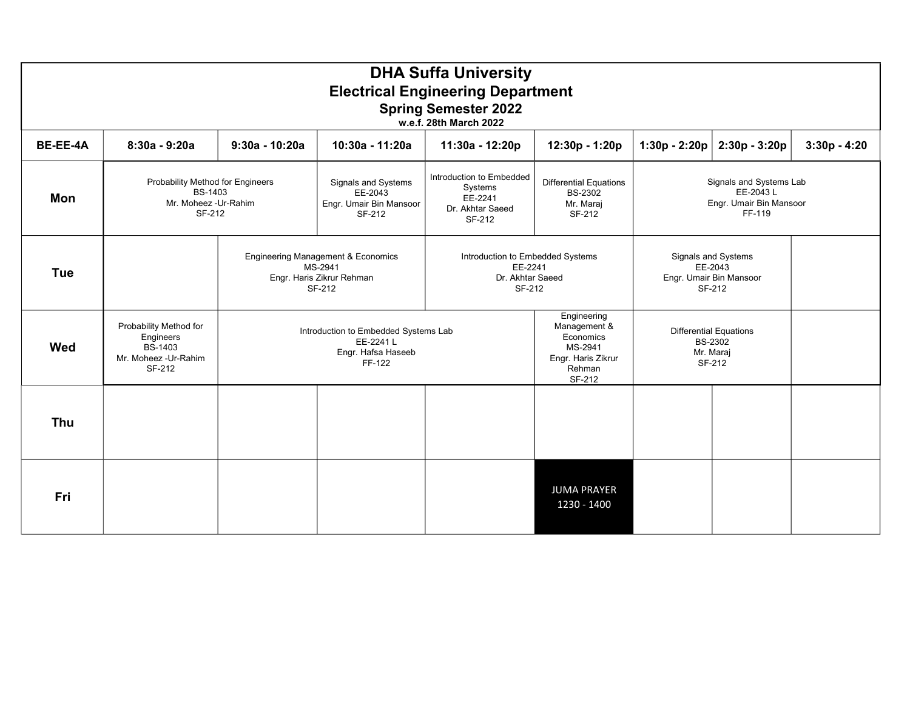|                 | <b>DHA Suffa University</b><br><b>Electrical Engineering Department</b><br><b>Spring Semester 2022</b><br>w.e.f. 28th March 2022 |                                                                                                 |                                                                                                                                                     |                 |                                                                                               |                                                                           |                                                                     |                |  |  |  |  |
|-----------------|----------------------------------------------------------------------------------------------------------------------------------|-------------------------------------------------------------------------------------------------|-----------------------------------------------------------------------------------------------------------------------------------------------------|-----------------|-----------------------------------------------------------------------------------------------|---------------------------------------------------------------------------|---------------------------------------------------------------------|----------------|--|--|--|--|
| <b>BE-EE-4A</b> | $8:30a - 9:20a$                                                                                                                  | $9:30a - 10:20a$                                                                                | 10:30a - 11:20a                                                                                                                                     | 11:30a - 12:20p | 12:30p - 1:20p                                                                                | $1:30p - 2:20p$                                                           | $2:30p - 3:20p$                                                     | $3:30p - 4:20$ |  |  |  |  |
| Mon             | Probability Method for Engineers<br><b>BS-1403</b><br>Mr. Moheez - Ur-Rahim<br>SF-212                                            |                                                                                                 | Introduction to Embedded<br>Signals and Systems<br>Systems<br>EE-2043<br>EE-2241<br>Engr. Umair Bin Mansoor<br>Dr. Akhtar Saeed<br>SF-212<br>SF-212 |                 | <b>Differential Equations</b><br><b>BS-2302</b><br>Mr. Maraj<br>SF-212                        | Signals and Systems Lab<br>EE-2043 L<br>Engr. Umair Bin Mansoor<br>FF-119 |                                                                     |                |  |  |  |  |
| <b>Tue</b>      |                                                                                                                                  | <b>Engineering Management &amp; Economics</b><br>MS-2941<br>Engr. Haris Zikrur Rehman<br>SF-212 |                                                                                                                                                     |                 | Introduction to Embedded Systems<br>EE-2241<br>Dr. Akhtar Saeed<br>SF-212                     |                                                                           | Signals and Systems<br>EE-2043<br>Engr. Umair Bin Mansoor<br>SF-212 |                |  |  |  |  |
| <b>Wed</b>      | Probability Method for<br>Engineers<br><b>BS-1403</b><br>Mr. Moheez - Ur-Rahim<br>SF-212                                         |                                                                                                 | Introduction to Embedded Systems Lab<br>EE-2241 L<br>Engr. Hafsa Haseeb<br>FF-122                                                                   |                 | Engineering<br>Management &<br>Economics<br>MS-2941<br>Engr. Haris Zikrur<br>Rehman<br>SF-212 | Mr. Maraj                                                                 | <b>Differential Equations</b><br>BS-2302<br>SF-212                  |                |  |  |  |  |
| Thu             |                                                                                                                                  |                                                                                                 |                                                                                                                                                     |                 |                                                                                               |                                                                           |                                                                     |                |  |  |  |  |
| Fri             |                                                                                                                                  |                                                                                                 |                                                                                                                                                     |                 | <b>JUMA PRAYER</b><br>1230 - 1400                                                             |                                                                           |                                                                     |                |  |  |  |  |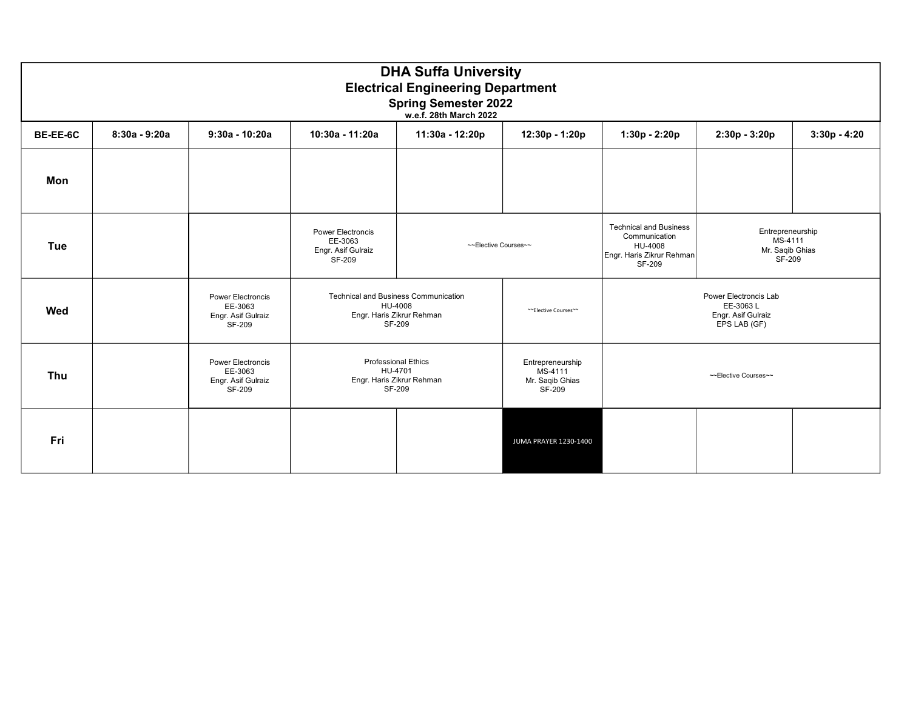|          | <b>DHA Suffa University</b><br><b>Electrical Engineering Department</b><br><b>Spring Semester 2022</b><br>w.e.f. 28th March 2022 |                                                                     |                                                                     |                                                                                                                                                 |                       |                                                                                                  |                                                                         |                |  |  |  |
|----------|----------------------------------------------------------------------------------------------------------------------------------|---------------------------------------------------------------------|---------------------------------------------------------------------|-------------------------------------------------------------------------------------------------------------------------------------------------|-----------------------|--------------------------------------------------------------------------------------------------|-------------------------------------------------------------------------|----------------|--|--|--|
| BE-EE-6C | $8:30a - 9:20a$                                                                                                                  | $9:30a - 10:20a$                                                    | 10:30a - 11:20a                                                     | 11:30a - 12:20p                                                                                                                                 | 12:30p - 1:20p        | 1:30p - 2:20p                                                                                    | 2:30p - 3:20p                                                           | $3:30p - 4:20$ |  |  |  |
| Mon      |                                                                                                                                  |                                                                     |                                                                     |                                                                                                                                                 |                       |                                                                                                  |                                                                         |                |  |  |  |
| Tue      |                                                                                                                                  |                                                                     | <b>Power Electroncis</b><br>EE-3063<br>Engr. Asif Gulraiz<br>SF-209 | ~~Elective Courses~~                                                                                                                            |                       | <b>Technical and Business</b><br>Communication<br>HU-4008<br>Engr. Haris Zikrur Rehman<br>SF-209 | Entrepreneurship<br>MS-4111<br>Mr. Saqib Ghias<br>SF-209                |                |  |  |  |
| Wed      |                                                                                                                                  | <b>Power Electroncis</b><br>EE-3063<br>Engr. Asif Gulraiz<br>SF-209 |                                                                     | <b>Technical and Business Communication</b><br>HU-4008<br>Engr. Haris Zikrur Rehman<br>SF-209                                                   | ~~Elective Courses~~  |                                                                                                  | Power Electroncis Lab<br>EE-3063L<br>Engr. Asif Gulraiz<br>EPS LAB (GF) |                |  |  |  |
| Thu      |                                                                                                                                  | Power Electroncis<br>EE-3063<br>Engr. Asif Gulraiz<br>SF-209        |                                                                     | <b>Professional Ethics</b><br>Entrepreneurship<br>HU-4701<br>MS-4111<br>Engr. Haris Zikrur Rehman<br>Mr. Saqib Ghias<br><b>SF-209</b><br>SF-209 |                       | ~~Elective Courses~~                                                                             |                                                                         |                |  |  |  |
| Fri      |                                                                                                                                  |                                                                     |                                                                     |                                                                                                                                                 | JUMA PRAYER 1230-1400 |                                                                                                  |                                                                         |                |  |  |  |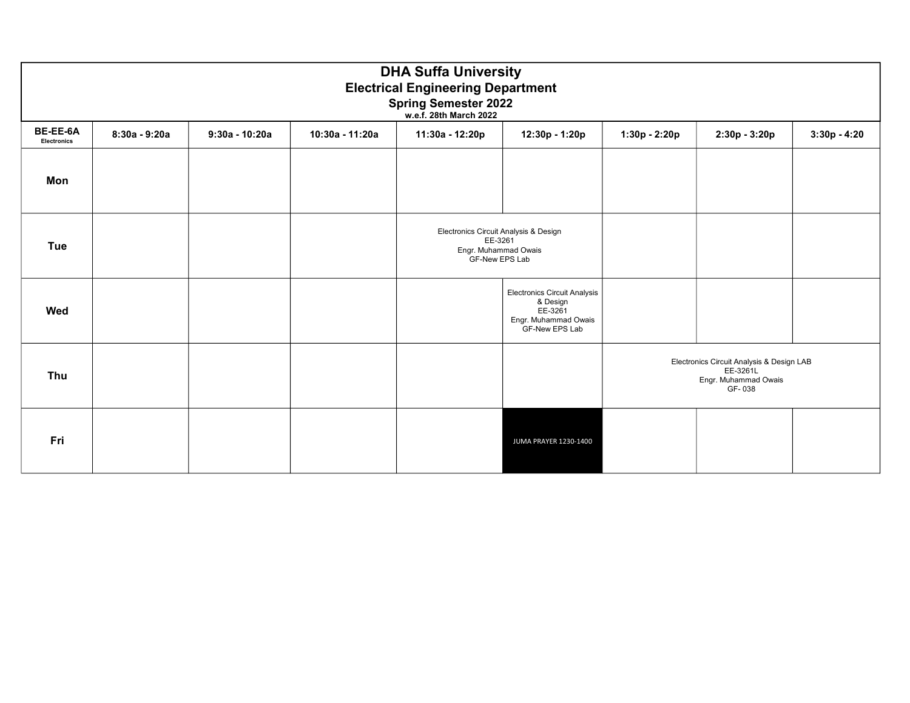|                                | <b>DHA Suffa University</b><br><b>Electrical Engineering Department</b><br><b>Spring Semester 2022</b><br>w.e.f. 28th March 2022 |                  |                 |                                                                                            |                                                                                                      |               |                                                                                         |                |  |  |  |
|--------------------------------|----------------------------------------------------------------------------------------------------------------------------------|------------------|-----------------|--------------------------------------------------------------------------------------------|------------------------------------------------------------------------------------------------------|---------------|-----------------------------------------------------------------------------------------|----------------|--|--|--|
| BE-EE-6A<br><b>Electronics</b> | 8:30a - 9:20a                                                                                                                    | $9:30a - 10:20a$ | 10:30a - 11:20a | 11:30a - 12:20p                                                                            | 12:30p - 1:20p                                                                                       | 1:30p - 2:20p | 2:30p - 3:20p                                                                           | $3:30p - 4:20$ |  |  |  |
| Mon                            |                                                                                                                                  |                  |                 |                                                                                            |                                                                                                      |               |                                                                                         |                |  |  |  |
| Tue                            |                                                                                                                                  |                  |                 | Electronics Circuit Analysis & Design<br>EE-3261<br>Engr. Muhammad Owais<br>GF-New EPS Lab |                                                                                                      |               |                                                                                         |                |  |  |  |
| Wed                            |                                                                                                                                  |                  |                 |                                                                                            | <b>Electronics Circuit Analysis</b><br>& Design<br>EE-3261<br>Engr. Muhammad Owais<br>GF-New EPS Lab |               |                                                                                         |                |  |  |  |
| Thu                            |                                                                                                                                  |                  |                 |                                                                                            |                                                                                                      |               | Electronics Circuit Analysis & Design LAB<br>EE-3261L<br>Engr. Muhammad Owais<br>GF-038 |                |  |  |  |
| Fri                            |                                                                                                                                  |                  |                 |                                                                                            | JUMA PRAYER 1230-1400                                                                                |               |                                                                                         |                |  |  |  |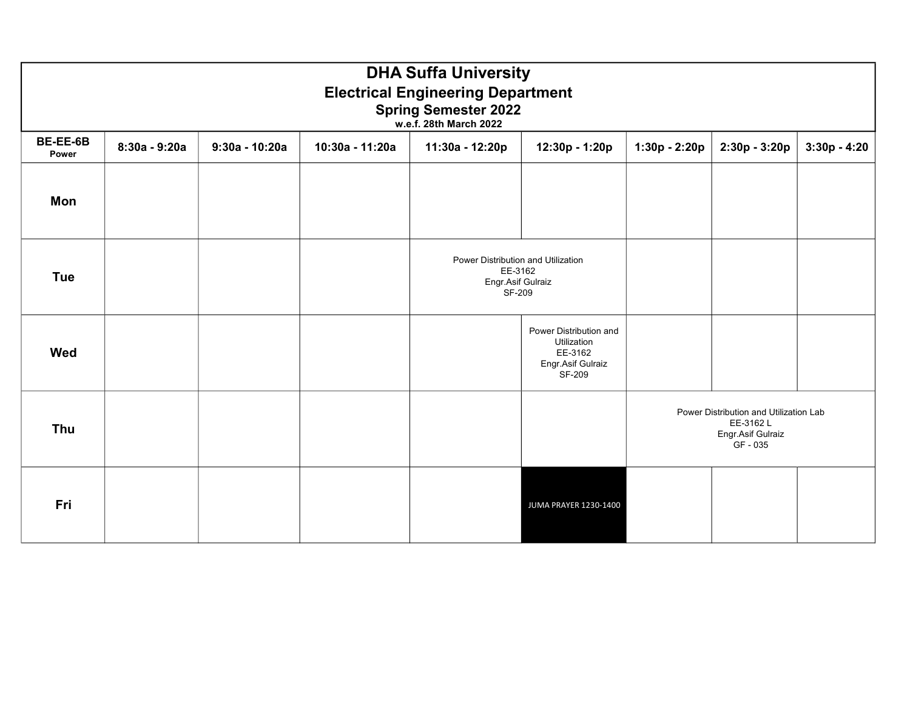|                   | <b>DHA Suffa University</b><br><b>Electrical Engineering Department</b><br><b>Spring Semester 2022</b><br>w.e.f. 28th March 2022 |                  |                 |                                                                              |                                                                                 |                                                                                    |               |                |  |  |  |  |  |
|-------------------|----------------------------------------------------------------------------------------------------------------------------------|------------------|-----------------|------------------------------------------------------------------------------|---------------------------------------------------------------------------------|------------------------------------------------------------------------------------|---------------|----------------|--|--|--|--|--|
| BE-EE-6B<br>Power | 8:30a - 9:20a                                                                                                                    | $9:30a - 10:20a$ | 10:30a - 11:20a | 11:30a - 12:20p                                                              | 12:30p - 1:20p                                                                  | 1:30p - 2:20p                                                                      | 2:30p - 3:20p | $3:30p - 4:20$ |  |  |  |  |  |
| Mon               |                                                                                                                                  |                  |                 |                                                                              |                                                                                 |                                                                                    |               |                |  |  |  |  |  |
| <b>Tue</b>        |                                                                                                                                  |                  |                 | Power Distribution and Utilization<br>EE-3162<br>Engr.Asif Gulraiz<br>SF-209 |                                                                                 |                                                                                    |               |                |  |  |  |  |  |
| <b>Wed</b>        |                                                                                                                                  |                  |                 |                                                                              | Power Distribution and<br>Utilization<br>EE-3162<br>Engr.Asif Gulraiz<br>SF-209 |                                                                                    |               |                |  |  |  |  |  |
| <b>Thu</b>        |                                                                                                                                  |                  |                 |                                                                              |                                                                                 | Power Distribution and Utilization Lab<br>EE-3162 L<br>Engr.Asif Gulraiz<br>GF-035 |               |                |  |  |  |  |  |
| Fri               |                                                                                                                                  |                  |                 |                                                                              | JUMA PRAYER 1230-1400                                                           |                                                                                    |               |                |  |  |  |  |  |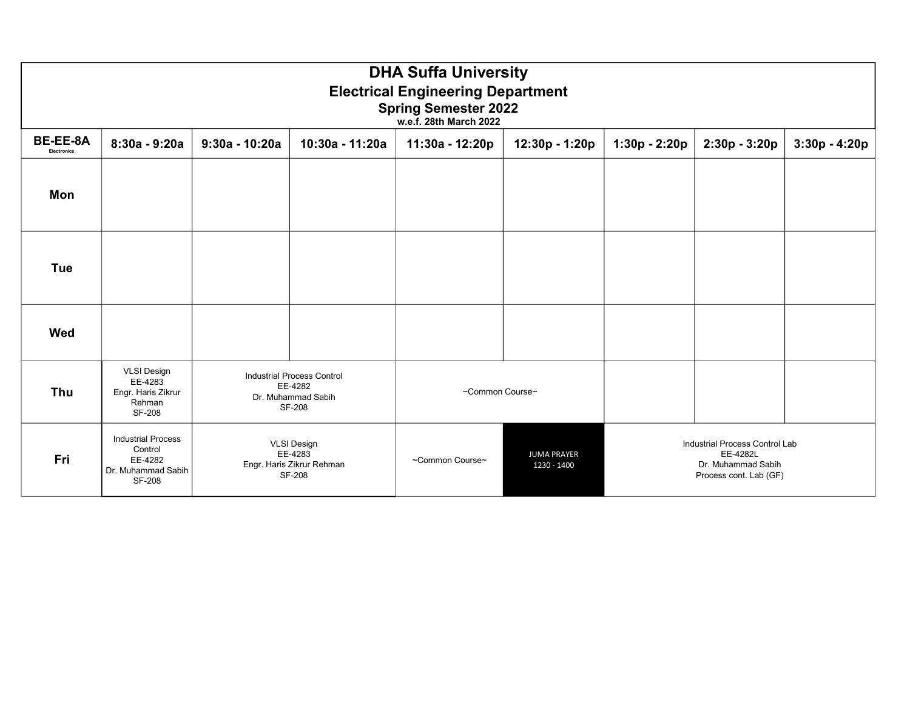|                                       | <b>DHA Suffa University</b><br><b>Electrical Engineering Department</b><br><b>Spring Semester 2022</b><br>w.e.f. 28th March 2022 |                  |                                                                                     |                 |                                   |               |                                                                                            |                 |  |  |  |  |  |
|---------------------------------------|----------------------------------------------------------------------------------------------------------------------------------|------------------|-------------------------------------------------------------------------------------|-----------------|-----------------------------------|---------------|--------------------------------------------------------------------------------------------|-----------------|--|--|--|--|--|
| <b>BE-EE-8A</b><br><b>Electronics</b> | 8:30a - 9:20a                                                                                                                    | $9:30a - 10:20a$ | 10:30a - 11:20a                                                                     | 11:30a - 12:20p | 12:30p - 1:20p                    | 1:30p - 2:20p | $2:30p - 3:20p$                                                                            | $3:30p - 4:20p$ |  |  |  |  |  |
| Mon                                   |                                                                                                                                  |                  |                                                                                     |                 |                                   |               |                                                                                            |                 |  |  |  |  |  |
| <b>Tue</b>                            |                                                                                                                                  |                  |                                                                                     |                 |                                   |               |                                                                                            |                 |  |  |  |  |  |
| Wed                                   |                                                                                                                                  |                  |                                                                                     |                 |                                   |               |                                                                                            |                 |  |  |  |  |  |
| Thu                                   | <b>VLSI Design</b><br>EE-4283<br>Engr. Haris Zikrur<br>Rehman<br><b>SF-208</b>                                                   |                  | <b>Industrial Process Control</b><br>EE-4282<br>Dr. Muhammad Sabih<br><b>SF-208</b> | ~Common Course~ |                                   |               |                                                                                            |                 |  |  |  |  |  |
| Fri                                   | <b>Industrial Process</b><br>Control<br>EE-4282<br>Dr. Muhammad Sabih<br><b>SF-208</b>                                           |                  | <b>VLSI Design</b><br>EE-4283<br>Engr. Haris Zikrur Rehman<br>SF-208                | ~Common Course~ | <b>JUMA PRAYER</b><br>1230 - 1400 |               | Industrial Process Control Lab<br>EE-4282L<br>Dr. Muhammad Sabih<br>Process cont. Lab (GF) |                 |  |  |  |  |  |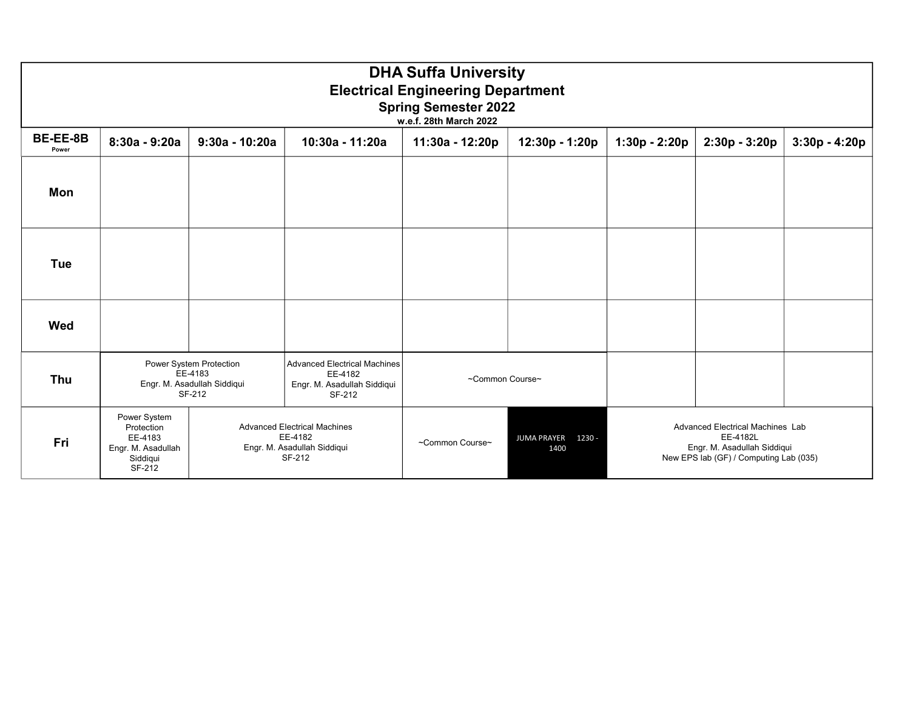|                   | <b>DHA Suffa University</b><br><b>Electrical Engineering Department</b><br><b>Spring Semester 2022</b><br>w.e.f. 28th March 2022 |                                                                             |                                                                                         |                 |                                      |               |                                                                                                                       |                 |  |  |  |  |
|-------------------|----------------------------------------------------------------------------------------------------------------------------------|-----------------------------------------------------------------------------|-----------------------------------------------------------------------------------------|-----------------|--------------------------------------|---------------|-----------------------------------------------------------------------------------------------------------------------|-----------------|--|--|--|--|
| BE-EE-8B<br>Power | $8:30a - 9:20a$                                                                                                                  | $9:30a - 10:20a$                                                            | 10:30a - 11:20a                                                                         | 11:30a - 12:20p | 12:30p - 1:20p                       | 1:30p - 2:20p | 2:30p - 3:20p                                                                                                         | $3:30p - 4:20p$ |  |  |  |  |
| Mon               |                                                                                                                                  |                                                                             |                                                                                         |                 |                                      |               |                                                                                                                       |                 |  |  |  |  |
| <b>Tue</b>        |                                                                                                                                  |                                                                             |                                                                                         |                 |                                      |               |                                                                                                                       |                 |  |  |  |  |
| Wed               |                                                                                                                                  |                                                                             |                                                                                         |                 |                                      |               |                                                                                                                       |                 |  |  |  |  |
| <b>Thu</b>        |                                                                                                                                  | Power System Protection<br>EE-4183<br>Engr. M. Asadullah Siddiqui<br>SF-212 | <b>Advanced Electrical Machines</b><br>EE-4182<br>Engr. M. Asadullah Siddiqui<br>SF-212 | ~Common Course~ |                                      |               |                                                                                                                       |                 |  |  |  |  |
| Fri               | Power System<br>Protection<br>EE-4183<br>Engr. M. Asadullah<br>Siddiqui<br>SF-212                                                |                                                                             | <b>Advanced Electrical Machines</b><br>EE-4182<br>Engr. M. Asadullah Siddiqui<br>SF-212 | ~Common Course~ | <b>JUMA PRAYER</b><br>1230 -<br>1400 |               | Advanced Electrical Machines Lab<br>EE-4182L<br>Engr. M. Asadullah Siddiqui<br>New EPS lab (GF) / Computing Lab (035) |                 |  |  |  |  |